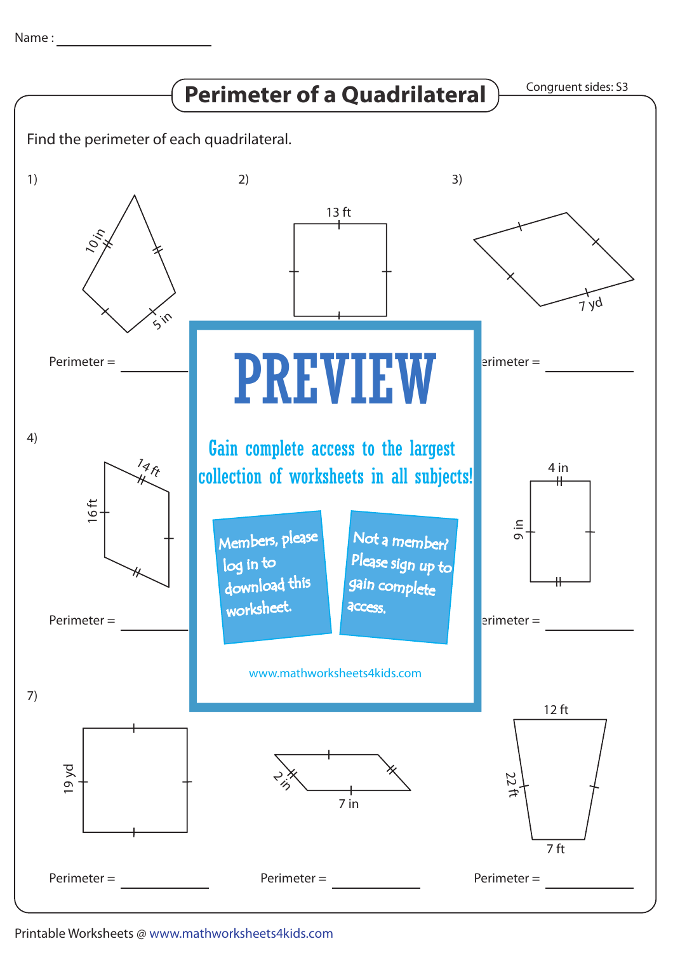